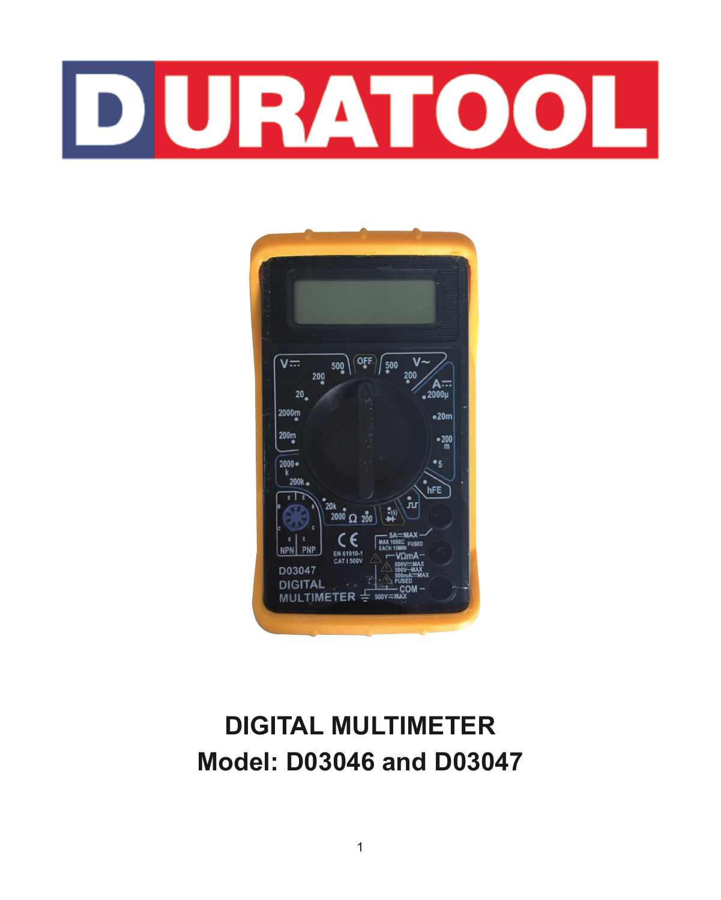# **DURATOOL**



# **DIGITAL MULTIMETER Model: D03046 and D03047**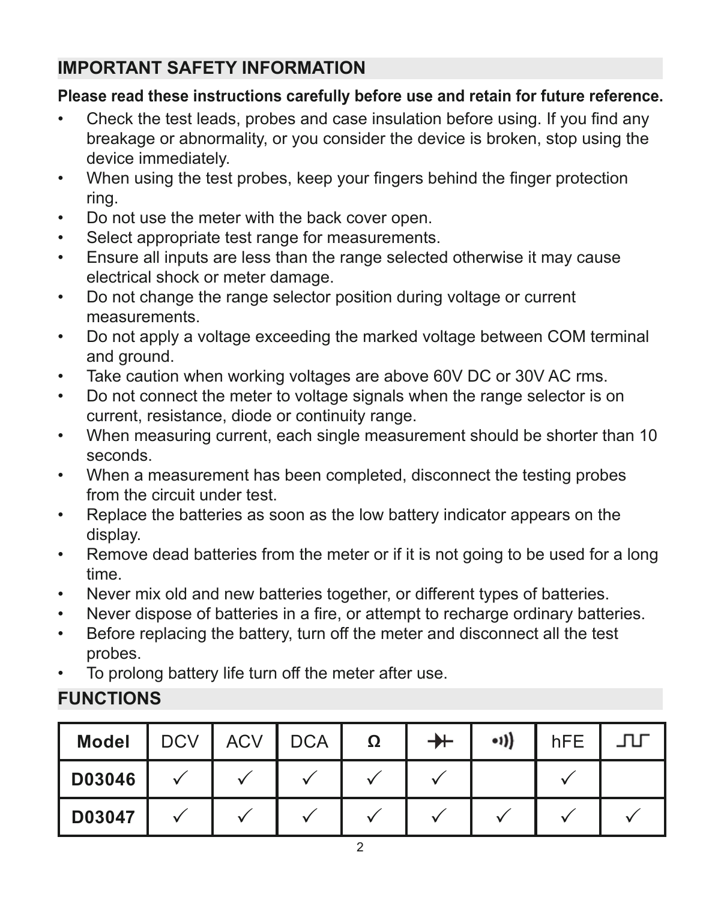# **IMPORTANT SAFETY INFORMATION**

#### **Please read these instructions carefully before use and retain for future reference.**

- Check the test leads, probes and case insulation before using. If you find any breakage or abnormality, or you consider the device is broken, stop using the device immediately.
- When using the test probes, keep your fingers behind the finger protection ring.
- Do not use the meter with the back cover open.
- Select appropriate test range for measurements.
- Ensure all inputs are less than the range selected otherwise it may cause electrical shock or meter damage.
- Do not change the range selector position during voltage or current measurements.
- Do not apply a voltage exceeding the marked voltage between COM terminal and ground.
- Take caution when working voltages are above 60V DC or 30V AC rms.
- Do not connect the meter to voltage signals when the range selector is on current, resistance, diode or continuity range.
- When measuring current, each single measurement should be shorter than 10 seconds.
- When a measurement has been completed, disconnect the testing probes from the circuit under test.
- Replace the batteries as soon as the low battery indicator appears on the display.
- Remove dead batteries from the meter or if it is not going to be used for a long time.
- Never mix old and new batteries together, or different types of batteries.
- Never dispose of batteries in a fire, or attempt to recharge ordinary batteries.
- Before replacing the battery, turn off the meter and disconnect all the test probes.
- To prolong battery life turn off the meter after use.

# **FUNCTIONS**

| Model  | DCV I | ACV | <b>DCA</b> | Ω | ┿ | $-1)$ | hFE | ЛJ |
|--------|-------|-----|------------|---|---|-------|-----|----|
| D03046 |       |     |            |   |   |       |     |    |
| D03047 |       |     |            |   |   |       |     |    |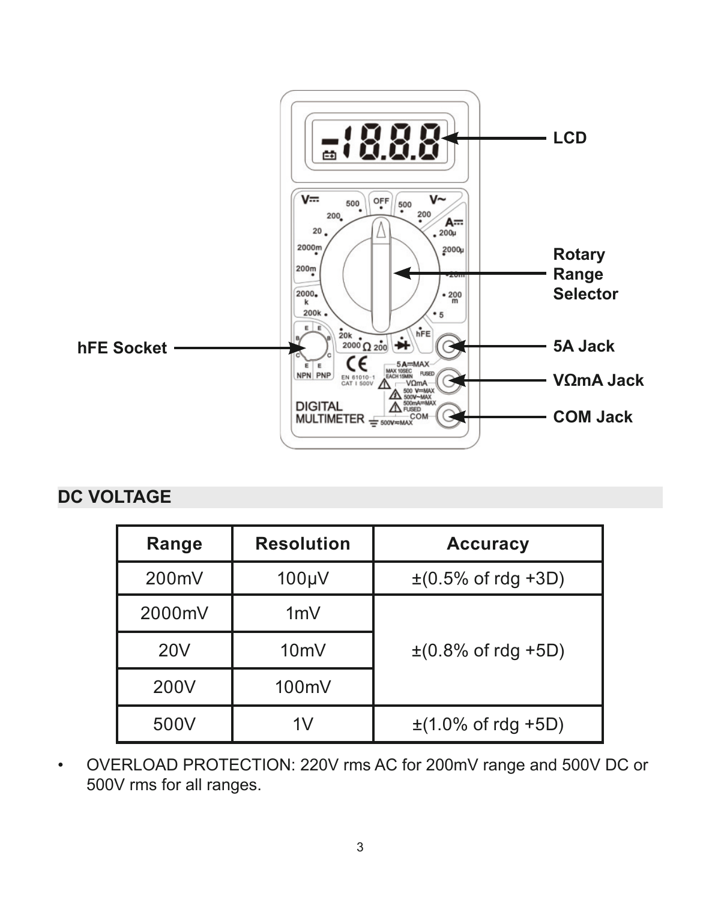

## **DC VOLTAGE**

| Range  | Resolution      | Accuracy                                  |
|--------|-----------------|-------------------------------------------|
| 200mV  | 100µV           | $\pm (0.5\% \text{ of } \text{rdg } +3D)$ |
| 2000mV | 1mV             |                                           |
| 20V    | 10 <sub>m</sub> | $\pm (0.8\% \text{ of } \text{rdq } +5D)$ |
| 200V   | 100mV           |                                           |
| 500V   | 1V              | $\pm$ (1.0% of rdg +5D)                   |

• OVERLOAD PROTECTION: 220V rms AC for 200mV range and 500V DC or 500V rms for all ranges.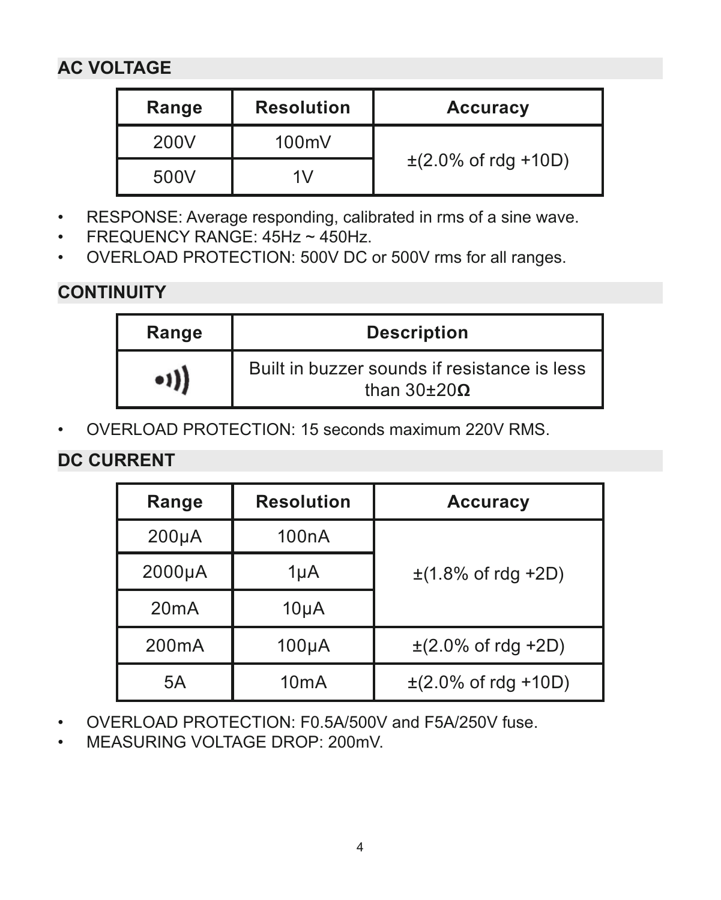# **AC VOLTAGE**

| Range | <b>Resolution</b> | Accuracy                 |  |
|-------|-------------------|--------------------------|--|
| 200V  | 100mV             | $\pm$ (2.0% of rdg +10D) |  |
| 500V  | 1V                |                          |  |

- RESPONSE: Average responding, calibrated in rms of a sine wave.
- FREQUENCY RANGE: 45Hz ~ 450Hz.
- OVERLOAD PROTECTION: 500V DC or 500V rms for all ranges.

# **CONTINUITY**

| Range                  | <b>Description</b>                                                   |
|------------------------|----------------------------------------------------------------------|
| $\bullet$ <sup>1</sup> | Built in buzzer sounds if resistance is less<br>than $30\pm20\Omega$ |

• OVERLOAD PROTECTION: 15 seconds maximum 220V RMS.

# **DC CURRENT**

| Range              | <b>Resolution</b>  | Accuracy                 |
|--------------------|--------------------|--------------------------|
| 200 <sub>µ</sub> A | 100 <sub>n</sub> A |                          |
| 2000µA             | $1\mu$ A           | $\pm$ (1.8% of rdg +2D)  |
| 20mA               | 10 <sub>µ</sub> A  |                          |
| 200 <sub>m</sub> A | 100 <sub>µ</sub> A | $\pm$ (2.0% of rdg +2D)  |
| 5A                 | 10 <sub>m</sub> A  | $\pm$ (2.0% of rdg +10D) |

- OVERLOAD PROTECTION: F0.5A/500V and F5A/250V fuse.
- MEASURING VOLTAGE DROP: 200mV.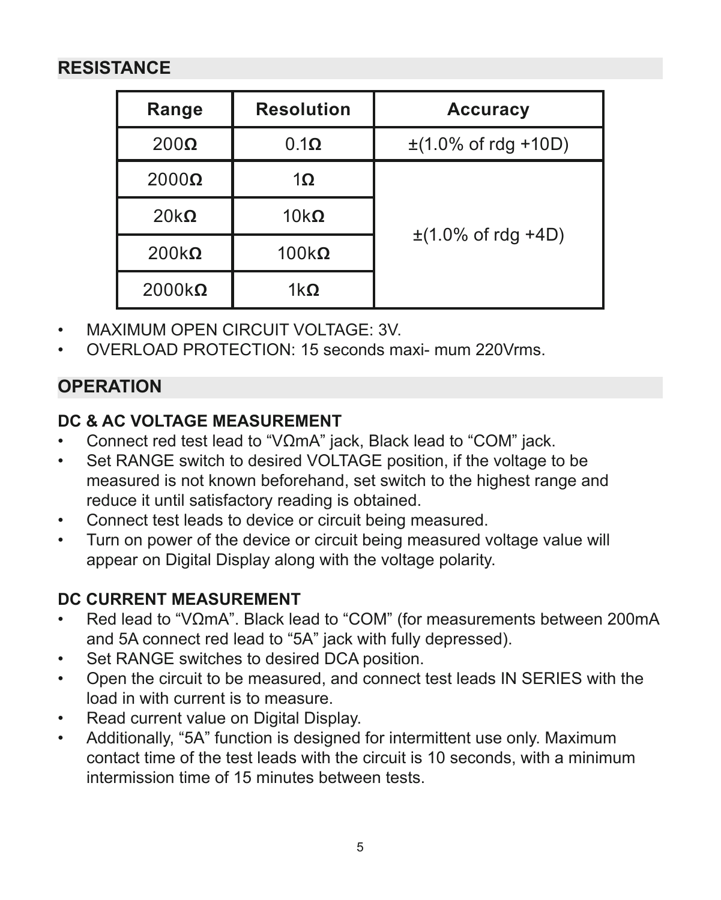## **RESISTANCE**

| Range         | <b>Resolution</b> | Accuracy                 |
|---------------|-------------------|--------------------------|
| $200\Omega$   | 0.1 <sub>Ω</sub>  | $\pm$ (1.0% of rdg +10D) |
| $2000\Omega$  | $1\Omega$         |                          |
| $20k\Omega$   | 10 $k\Omega$      |                          |
| $200k\Omega$  | $100k\Omega$      | $\pm$ (1.0% of rdg +4D)  |
| $2000k\Omega$ | $1k\Omega$        |                          |

- MAXIMUM OPEN CIRCUIT VOLTAGE: 3V.
- OVERLOAD PROTECTION: 15 seconds maxi- mum 220Vrms.

## **OPERATION**

## **DC & AC VOLTAGE MEASUREMENT**

- Connect red test lead to "VΩmA" jack, Black lead to "COM" jack.
- Set RANGE switch to desired VOLTAGE position, if the voltage to be measured is not known beforehand, set switch to the highest range and reduce it until satisfactory reading is obtained.
- Connect test leads to device or circuit being measured.
- Turn on power of the device or circuit being measured voltage value will appear on Digital Display along with the voltage polarity.

#### **DC CURRENT MEASUREMENT**

- Red lead to "VΩmA". Black lead to "COM" (for measurements between 200mA and 5A connect red lead to "5A" jack with fully depressed).
- Set RANGE switches to desired DCA position.
- Open the circuit to be measured, and connect test leads IN SERIES with the load in with current is to measure.
- Read current value on Digital Display.
- Additionally, "5A" function is designed for intermittent use only. Maximum contact time of the test leads with the circuit is 10 seconds, with a minimum intermission time of 15 minutes between tests.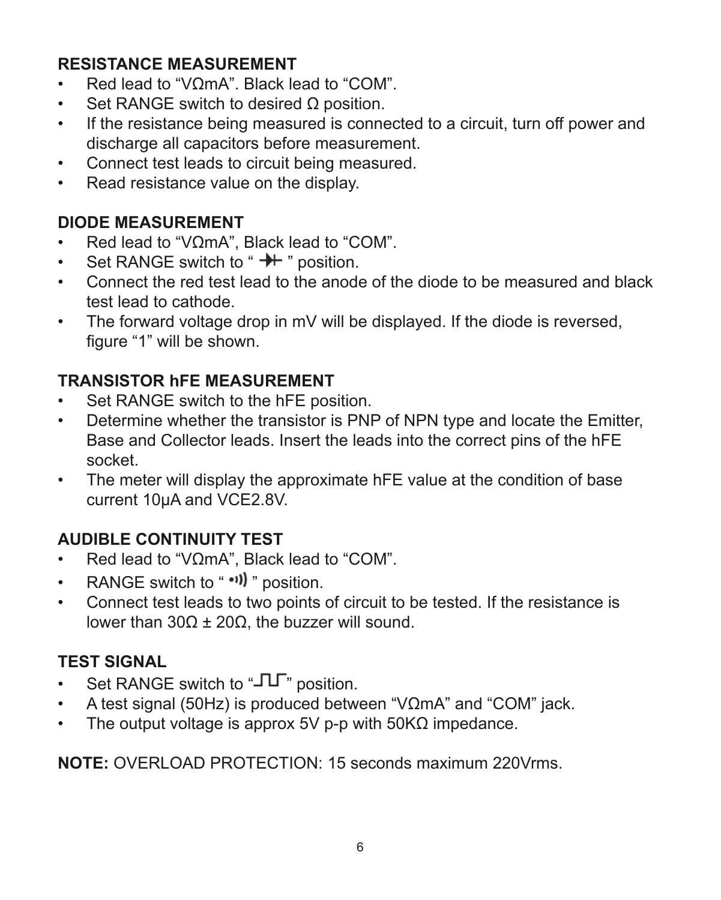#### **RESISTANCE MEASUREMENT**

- Red lead to "VΩmA". Black lead to "COM".
- Set RANGE switch to desired Ο position.
- If the resistance being measured is connected to a circuit, turn off power and discharge all capacitors before measurement.
- Connect test leads to circuit being measured.
- Read resistance value on the display.

#### **DIODE MEASUREMENT**

- Red lead to "VΩmA", Black lead to "COM".<br>• Set RANGE switch to " $\rightarrow$  " position
- Set RANGE switch to " ++ " position.
- Connect the red test lead to the anode of the diode to be measured and black test lead to cathode.
- The forward voltage drop in mV will be displayed. If the diode is reversed, figure "1" will be shown.

#### **TRANSISTOR hFE MEASUREMENT**

- Set RANGE switch to the hFE position.
- Determine whether the transistor is PNP of NPN type and locate the Emitter, Base and Collector leads. Insert the leads into the correct pins of the hFE socket.
- The meter will display the approximate hFE value at the condition of base current 10uA and VCE2.8V.

# **AUDIBLE CONTINUITY TEST**<br>• Red lead to "VOmA" Black

- Red lead to "VΩmA", Black lead to "COM".
- RANGE switch to " "" position.
- Connect test leads to two points of circuit to be tested. If the resistance is lower than 30Ω  $±$  20Ω, the buzzer will sound.

#### **TEST SIGNAL**

- Set RANGE switch to " $\Pi$ " position.
- A test signal (50Hz) is produced between "VΩmA" and "COM" jack.
- The output voltage is approx 5V p-p with 50KΩ impedance.

**NOTE:** OVERLOAD PROTECTION: 15 seconds maximum 220Vrms.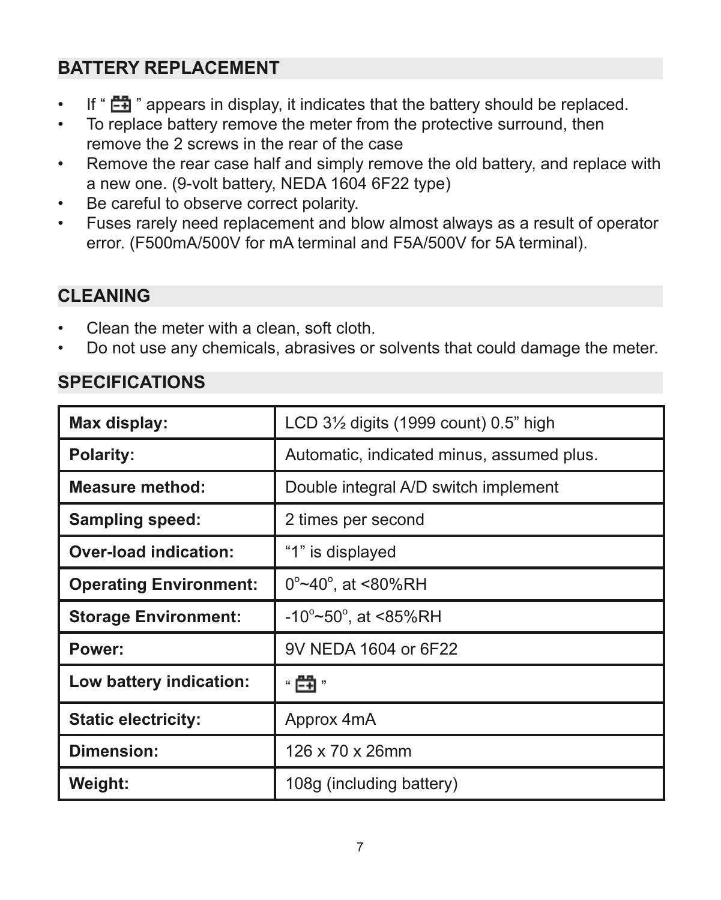# **BATTERY REPLACEMENT**

- If " $\Box$ " appears in display, it indicates that the battery should be replaced.
- To replace battery remove the meter from the protective surround, then remove the 2 screws in the rear of the case
- Remove the rear case half and simply remove the old battery, and replace with a new one. (9-volt battery, NEDA 1604 6F22 type)
- Be careful to observe correct polarity.
- Fuses rarely need replacement and blow almost always as a result of operator error. (F500mA/500V for mA terminal and F5A/500V for 5A terminal).

# **CLEANING**

- Clean the meter with a clean, soft cloth.
- Do not use any chemicals, abrasives or solvents that could damage the meter.

#### **SPECIFICATIONS**

| Max display:                  | LCD 3 <sup>1</sup> / <sub>2</sub> digits (1999 count) 0.5" high |  |  |
|-------------------------------|-----------------------------------------------------------------|--|--|
| Polarity:                     | Automatic, indicated minus, assumed plus.                       |  |  |
| <b>Measure method:</b>        | Double integral A/D switch implement                            |  |  |
| Sampling speed:               | 2 times per second                                              |  |  |
| Over-load indication:         | "1" is displayed                                                |  |  |
| <b>Operating Environment:</b> | $0^{\circ}$ ~40 $^{\circ}$ , at <80%RH                          |  |  |
| <b>Storage Environment:</b>   | $-10^{\circ}$ ~50 $^{\circ}$ , at <85%RH                        |  |  |
| Power:                        | 9V NEDA 1604 or 6F22                                            |  |  |
| Low battery indication:       | " 閂 "                                                           |  |  |
| <b>Static electricity:</b>    | Approx 4mA                                                      |  |  |
| Dimension:                    | 126 x 70 x 26mm                                                 |  |  |
| Weight:                       | 108g (including battery)                                        |  |  |